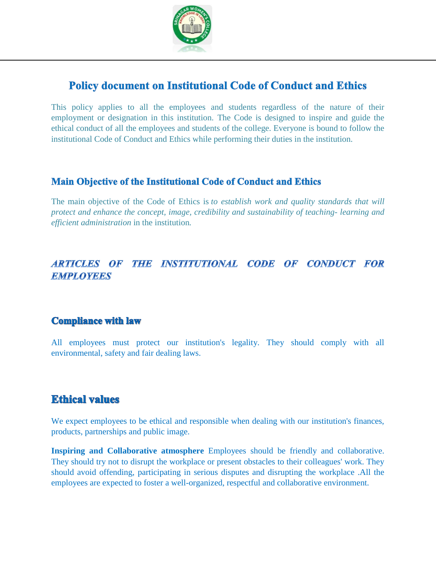

# **Policy document on Institutional Code of Conduct and Ethics**

This policy applies to all the employees and students regardless of the nature of their employment or designation in this institution. The Code is designed to inspire and guide the ethical conduct of all the employees and students of the college. Everyone is bound to follow the institutional Code of Conduct and Ethics while performing their duties in the institution.

#### **Main Objective of the Institutional Code of Conduct and Ethics**

The main objective of the Code of Ethics is *to establish work and quality standards that will protect and enhance the concept, image, credibility and sustainability of teaching- learning and efficient administration* in the institution*.*

### ARTICLES OF THE INSTITUTIONAL CODE OF CONDUCT FOR **EMPLOYEES**

### **Compliance with law**

All employees must protect our institution's legality. They should comply with all environmental, safety and fair dealing laws.

## **Ethical values**

We expect employees to be ethical and responsible when dealing with our institution's finances, products, partnerships and public image.

**Inspiring and Collaborative atmosphere** Employees should be friendly and collaborative. They should try not to disrupt the workplace or present obstacles to their colleagues' work. They should avoid offending, participating in serious disputes and disrupting the workplace .All the employees are expected to foster a well-organized, respectful and collaborative environment.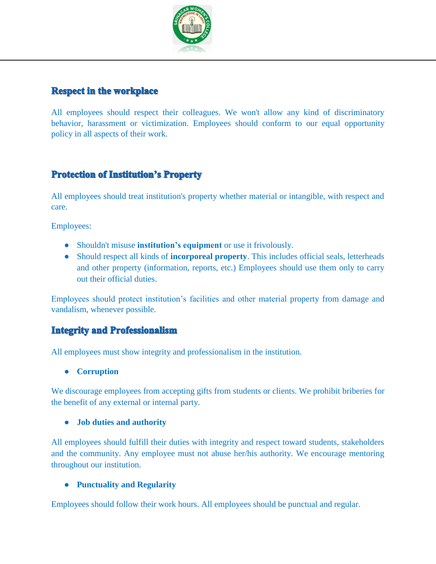

### **Respect in the workplace**

All employees should respect their colleagues. We won't allow any kind of discriminatory behavior, [harassment](https://resources.workable.com/workplace-harassment-company-policy) or victimization. Employees should conform to our [equal opportunity](https://resources.workable.com/equal-opportunity-company-policy)  [policy](https://resources.workable.com/equal-opportunity-company-policy) in all aspects of their work.

## **Protection of Institution's Property**

All employees should treat institution's property whether material or intangible, with respect and care.

Employees:

- Shouldn't misuse **institution's equipment** or use it frivolously.
- Should respect all kinds of **incorporeal property**. This includes official seals, letterheads and other property (information, reports, etc.) Employees should use them only to carry out their official duties.

Employees should protect institution's facilities and other material property from damage and vandalism, whenever possible.

#### **Integrity and Professionalism**

All employees must show [integrity](https://resources.workable.com/tutorial/employee-integrity-tests) and professionalism in the institution.

● **Corruption**

We discourage employees from accepting gifts from students or clients. We prohibit briberies for the benefit of any external or internal party.

#### ● **Job duties and authority**

All employees should fulfill their duties with integrity and respect toward students, stakeholders and the community. Any employee must not abuse her/his authority. We encourage mentoring throughout our institution.

#### ● **Punctuality and Regularity**

Employees should follow their work hours. All employees should be punctual and regular.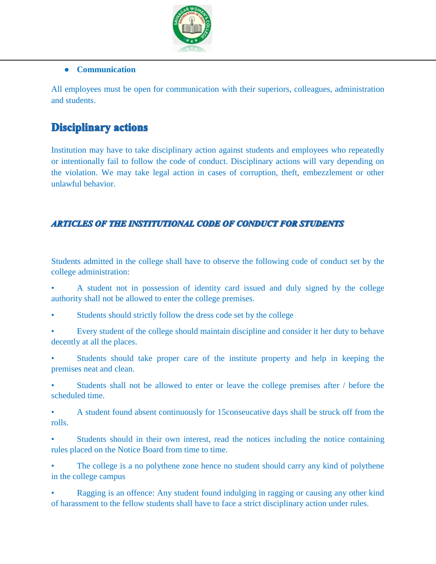

#### ● **Communication**

All employees must be [open for communication](https://resources.workable.com/open-door-company-policy) with their superiors, colleagues, administration and students.

# **Disciplinary actions**

Institution may have to take disciplinary action against students and employees who repeatedly or intentionally fail to follow the code of conduct. Disciplinary actions will vary depending on the violation. We may take legal action in cases of corruption, theft, embezzlement or other unlawful behavior.

#### **ARTICLES OF THE INSTITUTIONAL CODE OF CONDUCT FOR STUDENTS**

Students admitted in the college shall have to observe the following code of conduct set by the college administration:

• A student not in possession of identity card issued and duly signed by the college authority shall not be allowed to enter the college premises.

- Students should strictly follow the dress code set by the college
- Every student of the college should maintain discipline and consider it her duty to behave decently at all the places.
- Students should take proper care of the institute property and help in keeping the premises neat and clean.
- Students shall not be allowed to enter or leave the college premises after / before the scheduled time.
- A student found absent continuously for 15conseucative days shall be struck off from the rolls.
- Students should in their own interest, read the notices including the notice containing rules placed on the Notice Board from time to time.
- The college is a no polythene zone hence no student should carry any kind of polythene in the college campus
- Ragging is an offence: Any student found indulging in ragging or causing any other kind of harassment to the fellow students shall have to face a strict disciplinary action under rules.